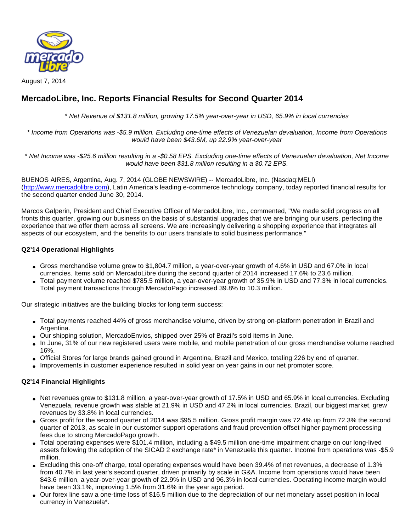

August 7, 2014

# **MercadoLibre, Inc. Reports Financial Results for Second Quarter 2014**

\* Net Revenue of \$131.8 million, growing 17.5% year-over-year in USD, 65.9% in local currencies

\* Income from Operations was -\$5.9 million. Excluding one-time effects of Venezuelan devaluation, Income from Operations would have been \$43.6M, up 22.9% year-over-year

\* Net Income was -\$25.6 million resulting in a -\$0.58 EPS. Excluding one-time effects of Venezuelan devaluation, Net Income would have been \$31.8 million resulting in a \$0.72 EPS.

BUENOS AIRES, Argentina, Aug. 7, 2014 (GLOBE NEWSWIRE) -- MercadoLibre, Inc. (Nasdaq:MELI) [\(http://www.mercadolibre.com\)](http://www.globenewswire.com/newsroom/ctr?d=10093672&l=4&a=http%3A%2F%2Fwww.mercadolibre.com&u=http%3A%2F%2Fwww.mercadolibre.com%2F), Latin America's leading e-commerce technology company, today reported financial results for the second quarter ended June 30, 2014.

Marcos Galperin, President and Chief Executive Officer of MercadoLibre, Inc., commented, "We made solid progress on all fronts this quarter, growing our business on the basis of substantial upgrades that we are bringing our users, perfecting the experience that we offer them across all screens. We are increasingly delivering a shopping experience that integrates all aspects of our ecosystem, and the benefits to our users translate to solid business performance."

## **Q2'14 Operational Highlights**

- Gross merchandise volume grew to \$1,804.7 million, a year-over-year growth of 4.6% in USD and 67.0% in local currencies. Items sold on MercadoLibre during the second quarter of 2014 increased 17.6% to 23.6 million.
- Total payment volume reached \$785.5 million, a year-over-year growth of 35.9% in USD and 77.3% in local currencies. Total payment transactions through MercadoPago increased 39.8% to 10.3 million.

Our strategic initiatives are the building blocks for long term success:

- Total payments reached 44% of gross merchandise volume, driven by strong on-platform penetration in Brazil and Argentina.
- Our shipping solution, MercadoEnvios, shipped over 25% of Brazil's sold items in June.
- In June, 31% of our new registered users were mobile, and mobile penetration of our gross merchandise volume reached 16%.
- Official Stores for large brands gained ground in Argentina, Brazil and Mexico, totaling 226 by end of quarter.
- Improvements in customer experience resulted in solid year on year gains in our net promoter score.

## **Q2'14 Financial Highlights**

- Net revenues grew to \$131.8 million, a year-over-year growth of 17.5% in USD and 65.9% in local currencies. Excluding Venezuela, revenue growth was stable at 21.9% in USD and 47.2% in local currencies. Brazil, our biggest market, grew revenues by 33.8% in local currencies.
- Gross profit for the second quarter of 2014 was \$95.5 million. Gross profit margin was 72.4% up from 72.3% the second quarter of 2013, as scale in our customer support operations and fraud prevention offset higher payment processing fees due to strong MercadoPago growth.
- Total operating expenses were \$101.4 million, including a \$49.5 million one-time impairment charge on our long-lived assets following the adoption of the SICAD 2 exchange rate\* in Venezuela this quarter. Income from operations was -\$5.9 million.
- Excluding this one-off charge, total operating expenses would have been 39.4% of net revenues, a decrease of 1.3% from 40.7% in last year's second quarter, driven primarily by scale in G&A. Income from operations would have been \$43.6 million, a year-over-year growth of 22.9% in USD and 96.3% in local currencies. Operating income margin would have been 33.1%, improving 1.5% from 31.6% in the year ago period.
- Our forex line saw a one-time loss of \$16.5 million due to the depreciation of our net monetary asset position in local currency in Venezuela\*.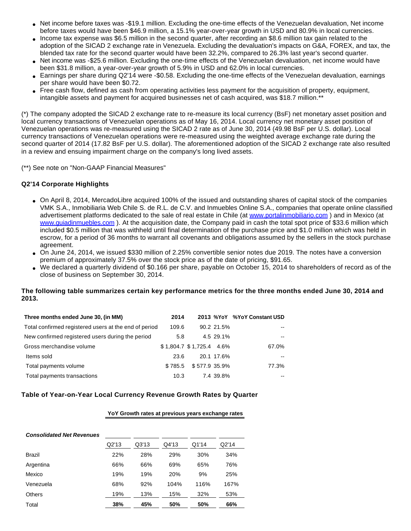- Net income before taxes was -\$19.1 million. Excluding the one-time effects of the Venezuelan devaluation, Net income before taxes would have been \$46.9 million, a 15.1% year-over-year growth in USD and 80.9% in local currencies.
- Income tax expense was \$6.5 million in the second quarter, after recording an \$8.6 million tax gain related to the adoption of the SICAD 2 exchange rate in Venezuela. Excluding the devaluation's impacts on G&A, FOREX, and tax, the blended tax rate for the second quarter would have been 32.2%, compared to 26.3% last year's second quarter.
- Net income was -\$25.6 million. Excluding the one-time effects of the Venezuelan devaluation, net income would have been \$31.8 million, a year-over-year growth of 5.9% in USD and 62.0% in local currencies.
- Earnings per share during Q2'14 were -\$0.58. Excluding the one-time effects of the Venezuelan devaluation, earnings per share would have been \$0.72.
- Free cash flow, defined as cash from operating activities less payment for the acquisition of property, equipment, intangible assets and payment for acquired businesses net of cash acquired, was \$18.7 million.\*\*

(\*) The company adopted the SICAD 2 exchange rate to re-measure its local currency (BsF) net monetary asset position and local currency transactions of Venezuelan operations as of May 16, 2014. Local currency net monetary asset position of Venezuelan operations was re-measured using the SICAD 2 rate as of June 30, 2014 (49.98 BsF per U.S. dollar). Local currency transactions of Venezuelan operations were re-measured using the weighted average exchange rate during the second quarter of 2014 (17.82 BsF per U.S. dollar). The aforementioned adoption of the SICAD 2 exchange rate also resulted in a review and ensuing impairment charge on the company's long lived assets.

(\*\*) See note on "Non-GAAP Financial Measures"

## **Q2'14 Corporate Highlights**

- On April 8, 2014, MercadoLibre acquired 100% of the issued and outstanding shares of capital stock of the companies VMK S.A., Inmobiliaria Web Chile S. de R.L. de C.V. and Inmuebles Online S.A., companies that operate online classified advertisement platforms dedicated to the sale of real estate in Chile (at [www.portalinmobiliario.com](http://www.globenewswire.com/newsroom/ctr?d=10093672&l=11&a=www.portalinmobiliario.com&u=http%3A%2F%2Fwww.portalinmobiliario.com) ) and in Mexico (at [www.guiadinmuebles.com](http://www.globenewswire.com/newsroom/ctr?d=10093672&l=11&a=www.guiadinmuebles.com&u=http%3A%2F%2Fwww.guiadinmuebles.com) ). At the acquisition date, the Company paid in cash the total spot price of \$33.6 million which included \$0.5 million that was withheld until final determination of the purchase price and \$1.0 million which was held in escrow, for a period of 36 months to warrant all covenants and obligations assumed by the sellers in the stock purchase agreement.
- On June 24, 2014, we issued \$330 million of 2.25% convertible senior notes due 2019. The notes have a conversion premium of approximately 37.5% over the stock price as of the date of pricing, \$91.65.
- We declared a quarterly dividend of \$0.166 per share, payable on October 15, 2014 to shareholders of record as of the close of business on September 30, 2014.

## **The following table summarizes certain key performance metrics for the three months ended June 30, 2014 and 2013.**

| Three months ended June 30, (in MM)                   | 2014    |                          |            | 2013 %YoY %YoY Constant USD |
|-------------------------------------------------------|---------|--------------------------|------------|-----------------------------|
| Total confirmed registered users at the end of period | 109.6   |                          | 90.2 21.5% |                             |
| New confirmed registered users during the period      | 5.8     |                          | 4.5 29.1%  |                             |
| Gross merchandise volume                              |         | \$1,804.7 \$1,725.4 4.6% |            | 67.0%                       |
| Items sold                                            | 23.6    |                          | 20.1 17.6% |                             |
| Total payments volume                                 | \$785.5 | \$577.9 35.9%            |            | 77.3%                       |
| Total payments transactions                           | 10.3    |                          | 7.4 39.8%  |                             |

## **Table of Year-on-Year Local Currency Revenue Growth Rates by Quarter**

### **YoY Growth rates at previous years exchange rates**

| <b>Consolidated Net Revenues</b> |       |       |       |       |       |
|----------------------------------|-------|-------|-------|-------|-------|
|                                  | Q2'13 | Q3'13 | Q4'13 | Q1'14 | Q2'14 |
| Brazil                           | 22%   | 28%   | 29%   | 30%   | 34%   |
| Argentina                        | 66%   | 66%   | 69%   | 65%   | 76%   |
| Mexico                           | 19%   | 19%   | 20%   | 9%    | 25%   |
| Venezuela                        | 68%   | 92%   | 104%  | 116%  | 167%  |
| Others                           | 19%   | 13%   | 15%   | 32%   | 53%   |
| Total                            | 38%   | 45%   | 50%   | 50%   | 66%   |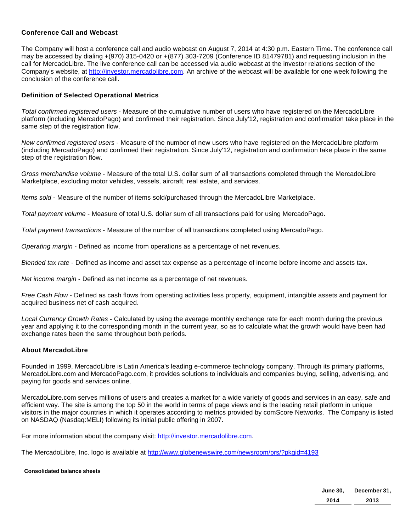## **Conference Call and Webcast**

The Company will host a conference call and audio webcast on August 7, 2014 at 4:30 p.m. Eastern Time. The conference call may be accessed by dialing +(970) 315-0420 or +(877) 303-7209 (Conference ID 81479781) and requesting inclusion in the call for MercadoLibre. The live conference call can be accessed via audio webcast at the investor relations section of the Company's website, at [http://investor.mercadolibre.com.](http://www.globenewswire.com/newsroom/ctr?d=236925&l=18&u=http%3A%2F%2Finvestor.mercadolibre.com) An archive of the webcast will be available for one week following the conclusion of the conference call.

## **Definition of Selected Operational Metrics**

Total confirmed registered users - Measure of the cumulative number of users who have registered on the MercadoLibre platform (including MercadoPago) and confirmed their registration. Since July'12, registration and confirmation take place in the same step of the registration flow.

New confirmed registered users - Measure of the number of new users who have registered on the MercadoLibre platform (including MercadoPago) and confirmed their registration. Since July'12, registration and confirmation take place in the same step of the registration flow.

Gross merchandise volume - Measure of the total U.S. dollar sum of all transactions completed through the MercadoLibre Marketplace, excluding motor vehicles, vessels, aircraft, real estate, and services.

Items sold - Measure of the number of items sold/purchased through the MercadoLibre Marketplace.

Total payment volume - Measure of total U.S. dollar sum of all transactions paid for using MercadoPago.

Total payment transactions - Measure of the number of all transactions completed using MercadoPago.

Operating margin - Defined as income from operations as a percentage of net revenues.

Blended tax rate - Defined as income and asset tax expense as a percentage of income before income and assets tax.

Net income margin - Defined as net income as a percentage of net revenues.

Free Cash Flow - Defined as cash flows from operating activities less property, equipment, intangible assets and payment for acquired business net of cash acquired.

Local Currency Growth Rates - Calculated by using the average monthly exchange rate for each month during the previous year and applying it to the corresponding month in the current year, so as to calculate what the growth would have been had exchange rates been the same throughout both periods.

### **About MercadoLibre**

Founded in 1999, MercadoLibre is Latin America's leading e-commerce technology company. Through its primary platforms, MercadoLibre.com and MercadoPago.com, it provides solutions to individuals and companies buying, selling, advertising, and paying for goods and services online.

MercadoLibre.com serves millions of users and creates a market for a wide variety of goods and services in an easy, safe and efficient way. The site is among the top 50 in the world in terms of page views and is the leading retail platform in unique visitors in the major countries in which it operates according to metrics provided by comScore Networks. The Company is listed on NASDAQ (Nasdaq:MELI) following its initial public offering in 2007.

For more information about the company visit: [http://investor.mercadolibre.com](http://www.globenewswire.com/newsroom/ctr?d=10093672&l=31&a=http%3A%2F%2Finvestor.mercadolibre.com&u=http%3A%2F%2Finvestor.mercadolibre.com%2F).

The MercadoLibre, Inc. logo is available at [http://www.globenewswire.com/newsroom/prs/?pkgid=4193](http://www.globenewswire.com/newsroom/ctr?d=10093672&l=32&u=http%3A%2F%2Fwww.globenewswire.com%2Fnewsroom%2Fprs%2F%3Fpkgid%3D4193)

#### **Consolidated balance sheets**

| <b>June 30.</b> | December 31, |
|-----------------|--------------|
| 2014            | 2013         |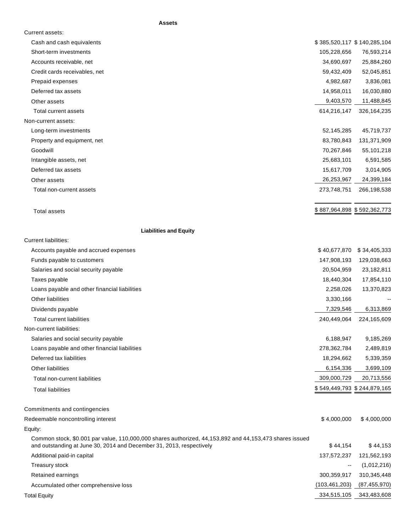| Current assets:                                                                                                                                                                 |                 |                             |
|---------------------------------------------------------------------------------------------------------------------------------------------------------------------------------|-----------------|-----------------------------|
| Cash and cash equivalents                                                                                                                                                       |                 | \$385,520,117 \$140,285,104 |
| Short-term investments                                                                                                                                                          | 105,228,656     | 76,593,214                  |
| Accounts receivable, net                                                                                                                                                        | 34,690,697      | 25,884,260                  |
| Credit cards receivables, net                                                                                                                                                   | 59,432,409      | 52,045,851                  |
| Prepaid expenses                                                                                                                                                                | 4,982,687       | 3,836,081                   |
| Deferred tax assets                                                                                                                                                             | 14,958,011      | 16,030,880                  |
| Other assets                                                                                                                                                                    | 9,403,570       | 11,488,845                  |
| <b>Total current assets</b>                                                                                                                                                     | 614,216,147     | 326,164,235                 |
| Non-current assets:                                                                                                                                                             |                 |                             |
| Long-term investments                                                                                                                                                           | 52,145,285      | 45,719,737                  |
| Property and equipment, net                                                                                                                                                     | 83,780,843      | 131,371,909                 |
| Goodwill                                                                                                                                                                        | 70,267,846      | 55,101,218                  |
| Intangible assets, net                                                                                                                                                          | 25,683,101      | 6,591,585                   |
| Deferred tax assets                                                                                                                                                             | 15,617,709      | 3,014,905                   |
| Other assets                                                                                                                                                                    | 26,253,967      | 24,399,184                  |
| Total non-current assets                                                                                                                                                        | 273,748,751     | 266,198,538                 |
| <b>Total assets</b>                                                                                                                                                             |                 | \$887,964,898 \$592,362,773 |
| <b>Liabilities and Equity</b>                                                                                                                                                   |                 |                             |
| <b>Current liabilities:</b>                                                                                                                                                     |                 |                             |
| Accounts payable and accrued expenses                                                                                                                                           | \$40,677,870    | \$34,405,333                |
| Funds payable to customers                                                                                                                                                      | 147,908,193     | 129,038,663                 |
| Salaries and social security payable                                                                                                                                            | 20,504,959      | 23,182,811                  |
| Taxes payable                                                                                                                                                                   | 18,440,304      | 17,854,110                  |
| Loans payable and other financial liabilities                                                                                                                                   | 2,258,026       | 13,370,823                  |
| Other liabilities                                                                                                                                                               | 3,330,166       |                             |
| Dividends payable                                                                                                                                                               | 7,329,546       | 6,313,869                   |
| <b>Total current liabilities</b>                                                                                                                                                | 240,449,064     | 224,165,609                 |
| Non-current liabilities:                                                                                                                                                        |                 |                             |
| Salaries and social security payable                                                                                                                                            | 6,188,947       | 9,185,269                   |
| Loans payable and other financial liabilities                                                                                                                                   | 278,362,784     | 2,489,819                   |
| Deferred tax liabilities                                                                                                                                                        | 18,294,662      | 5,339,359                   |
| Other liabilities                                                                                                                                                               | 6,154,336       | 3,699,109                   |
| Total non-current liabilities                                                                                                                                                   | 309,000,729     | 20,713,556                  |
| <b>Total liabilities</b>                                                                                                                                                        |                 | \$549,449,793 \$244,879,165 |
| Commitments and contingencies                                                                                                                                                   |                 |                             |
| Redeemable noncontrolling interest                                                                                                                                              | \$4,000,000     | \$4,000,000                 |
| Equity:                                                                                                                                                                         |                 |                             |
| Common stock, \$0.001 par value, 110,000,000 shares authorized, 44,153,892 and 44,153,473 shares issued<br>and outstanding at June 30, 2014 and December 31, 2013, respectively | \$44,154        | \$44,153                    |
| Additional paid-in capital                                                                                                                                                      | 137,572,237     | 121,562,193                 |
| Treasury stock                                                                                                                                                                  |                 | (1,012,216)                 |
| Retained earnings                                                                                                                                                               | 300,359,917     | 310,345,448                 |
| Accumulated other comprehensive loss                                                                                                                                            | (103, 461, 203) | (87, 455, 970)              |
| <b>Total Equity</b>                                                                                                                                                             | 334,515,105     | 343,483,608                 |

**Assets**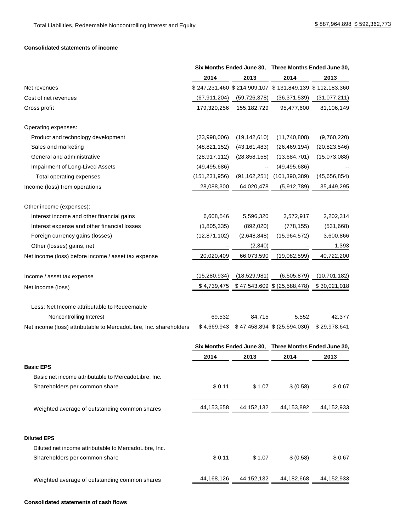## **Consolidated statements of income**

|                                                                   |                 |                                             | Six Months Ended June 30, Three Months Ended June 30,   |                |
|-------------------------------------------------------------------|-----------------|---------------------------------------------|---------------------------------------------------------|----------------|
|                                                                   | 2014            | 2013                                        | 2014                                                    | 2013           |
| Net revenues                                                      |                 |                                             | \$247,231,460 \$214,909,107 \$131,849,139 \$112,183,360 |                |
| Cost of net revenues                                              | (67, 911, 204)  | (59, 726, 378)                              | (36, 371, 539)                                          | (31,077,211)   |
| Gross profit                                                      | 179,320,256     | 155, 182, 729                               | 95,477,600                                              | 81,106,149     |
| Operating expenses:                                               |                 |                                             |                                                         |                |
| Product and technology development                                | (23,998,006)    | (19, 142, 610)                              | (11,740,808)                                            | (9,760,220)    |
| Sales and marketing                                               | (48, 821, 152)  | (43, 161, 483)                              | (26, 469, 194)                                          | (20, 823, 546) |
| General and administrative                                        | (28, 917, 112)  | (28, 858, 158)                              | (13,684,701)                                            | (15,073,088)   |
| Impairment of Long-Lived Assets                                   | (49, 495, 686)  |                                             | (49, 495, 686)                                          |                |
| Total operating expenses                                          | (151, 231, 956) | (91, 162, 251)                              | (101, 390, 389)                                         | (45,656,854)   |
| Income (loss) from operations                                     | 28,088,300      | 64,020,478                                  | (5,912,789)                                             | 35,449,295     |
| Other income (expenses):                                          |                 |                                             |                                                         |                |
| Interest income and other financial gains                         | 6,608,546       | 5,596,320                                   | 3,572,917                                               | 2,202,314      |
| Interest expense and other financial losses                       | (1,805,335)     | (892,020)                                   | (778, 155)                                              | (531,668)      |
| Foreign currency gains (losses)                                   | (12, 871, 102)  | (2,648,848)                                 | (15,964,572)                                            | 3,600,866      |
| Other (losses) gains, net                                         |                 | (2,340)                                     |                                                         | 1,393          |
| Net income (loss) before income / asset tax expense               | 20,020,409      | 66,073,590                                  | (19,082,599)                                            | 40,722,200     |
| Income / asset tax expense                                        | (15, 280, 934)  | (18,529,981)                                | (6,505,879)                                             | (10, 701, 182) |
| Net income (loss)                                                 | \$4,739,475     |                                             | \$47,543,609 \$ (25,588,478)                            | \$30,021,018   |
| Less: Net Income attributable to Redeemable                       |                 |                                             |                                                         |                |
| Noncontrolling Interest                                           | 69,532          | 84,715                                      | 5,552                                                   | 42,377         |
| Net income (loss) attributable to MercadoLibre, Inc. shareholders |                 | $$4,669,943$ $$47,458,894$ $$ (25,594,030)$ |                                                         | \$29,978,641   |
|                                                                   |                 |                                             | Six Months Ended June 30, Three Months Ended June 30,   |                |
|                                                                   | 2014            | 2013                                        | 2014                                                    | 2013           |
| <b>Basic EPS</b>                                                  |                 |                                             |                                                         |                |
| Basic net income attributable to MercadoLibre, Inc.               |                 |                                             |                                                         |                |
| Shareholders per common share                                     | \$0.11          | \$1.07                                      | \$ (0.58)                                               | \$0.67         |
| Weighted average of outstanding common shares                     | 44,153,658      | 44, 152, 132                                | 44,153,892                                              | 44,152,933     |
|                                                                   |                 |                                             |                                                         |                |
| <b>Diluted EPS</b>                                                |                 |                                             |                                                         |                |
| Diluted net income attributable to MercadoLibre, Inc.             |                 |                                             |                                                         |                |
| Shareholders per common share                                     | \$0.11          | \$1.07                                      | \$ (0.58)                                               | \$0.67         |
| Weighted average of outstanding common shares                     | 44,168,126      | 44, 152, 132                                | 44,182,668                                              | 44, 152, 933   |

#### **Consolidated statements of cash flows**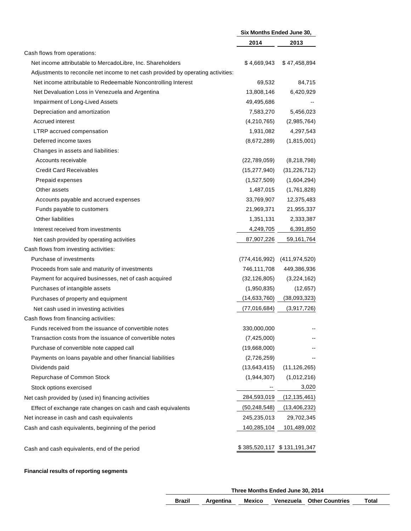|                                                                                   | Six Months Ended June 30, |                             |
|-----------------------------------------------------------------------------------|---------------------------|-----------------------------|
|                                                                                   | 2014                      | 2013                        |
| Cash flows from operations:                                                       |                           |                             |
| Net income attributable to MercadoLibre, Inc. Shareholders                        | \$4,669,943               | \$47,458,894                |
| Adjustments to reconcile net income to net cash provided by operating activities: |                           |                             |
| Net income attributable to Redeemable Noncontrolling Interest                     | 69,532                    | 84,715                      |
| Net Devaluation Loss in Venezuela and Argentina                                   | 13,808,146                | 6,420,929                   |
| Impairment of Long-Lived Assets                                                   | 49,495,686                |                             |
| Depreciation and amortization                                                     | 7,583,270                 | 5,456,023                   |
| Accrued interest                                                                  | (4,210,765)               | (2,985,764)                 |
| LTRP accrued compensation                                                         | 1,931,082                 | 4,297,543                   |
| Deferred income taxes                                                             | (8,672,289)               | (1,815,001)                 |
| Changes in assets and liabilities:                                                |                           |                             |
| Accounts receivable                                                               | (22,789,059)              | (8,218,798)                 |
| <b>Credit Card Receivables</b>                                                    | (15, 277, 940)            | (31, 226, 712)              |
| Prepaid expenses                                                                  | (1,527,509)               | (1,604,294)                 |
| Other assets                                                                      | 1,487,015                 | (1,761,828)                 |
| Accounts payable and accrued expenses                                             | 33,769,907                | 12,375,483                  |
| Funds payable to customers                                                        | 21,969,371                | 21,955,337                  |
| <b>Other liabilities</b>                                                          | 1,351,131                 | 2,333,387                   |
| Interest received from investments                                                | 4,249,705                 | 6,391,850                   |
| Net cash provided by operating activities                                         | 87,907,226                | 59,161,764                  |
| Cash flows from investing activities:                                             |                           |                             |
| Purchase of investments                                                           | (774, 416, 992)           | (411, 974, 520)             |
| Proceeds from sale and maturity of investments                                    | 746,111,708               | 449,386,936                 |
| Payment for acquired businesses, net of cash acquired                             | (32, 126, 805)            | (3,224,162)                 |
| Purchases of intangible assets                                                    | (1,950,835)               | (12, 657)                   |
| Purchases of property and equipment                                               | (14, 633, 760)            | (38,093,323)                |
| Net cash used in investing activities                                             | (77, 016, 684)            | (3,917,726)                 |
| Cash flows from financing activities:                                             |                           |                             |
| Funds received from the issuance of convertible notes                             | 330,000,000               |                             |
| Transaction costs from the issuance of convertible notes                          | (7,425,000)               |                             |
| Purchase of convertible note capped call                                          | (19,668,000)              |                             |
| Payments on loans payable and other financial liabilities                         | (2,726,259)               |                             |
| Dividends paid                                                                    | (13,643,415)              | (11, 126, 265)              |
| Repurchase of Common Stock                                                        | (1,944,307)               | (1,012,216)                 |
| Stock options exercised                                                           |                           | 3,020                       |
| Net cash provided by (used in) financing activities                               | 284,593,019               | (12, 135, 461)              |
| Effect of exchange rate changes on cash and cash equivalents                      | (50, 248, 548)            | (13, 406, 232)              |
| Net increase in cash and cash equivalents                                         | 245,235,013               | 29,702,345                  |
| Cash and cash equivalents, beginning of the period                                | 140,285,104               | 101,489,002                 |
| Cash and cash equivalents, end of the period                                      |                           | \$385,520,117 \$131,191,347 |

## **Financial results of reporting segments**

**Three Months Ended June 30, 2014**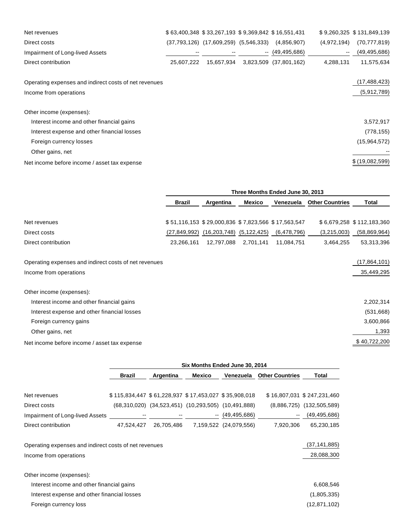| Net revenues                                          |            | \$63,400,348 \$33,267,193 \$9,369,842 \$16,551,431 |                        |             | \$9,260,325 \$131,849,139 |
|-------------------------------------------------------|------------|----------------------------------------------------|------------------------|-------------|---------------------------|
| Direct costs                                          |            | $(37,793,126)$ $(17,609,259)$ $(5,546,333)$        | (4,856,907)            | (4,972,194) | (70, 777, 819)            |
| Impairment of Long-lived Assets                       |            |                                                    | $-$ (49,495,686)       | $- -$       | (49, 495, 686)            |
| Direct contribution                                   | 25,607,222 | 15,657,934                                         | 3,823,509 (37,801,162) | 4,288,131   | 11,575,634                |
|                                                       |            |                                                    |                        |             |                           |
| Operating expenses and indirect costs of net revenues |            |                                                    |                        |             | (17, 488, 423)            |
| Income from operations                                |            |                                                    |                        |             | (5,912,789)               |
|                                                       |            |                                                    |                        |             |                           |
| Other income (expenses):                              |            |                                                    |                        |             |                           |
| Interest income and other financial gains             |            |                                                    |                        |             | 3,572,917                 |
| Interest expense and other financial losses           |            |                                                    |                        |             | (778, 155)                |
| Foreign currency losses                               |            |                                                    |                        |             | (15,964,572)              |
| Other gains, net                                      |            |                                                    |                        |             |                           |
| Net income before income / asset tax expense          |            |                                                    |                        |             | \$(19,082,599)            |

|                                                       | Three Months Ended June 30, 2013 |                                                    |           |             |                        |                           |
|-------------------------------------------------------|----------------------------------|----------------------------------------------------|-----------|-------------|------------------------|---------------------------|
|                                                       | Brazil                           | Argentina                                          | Mexico    | Venezuela   | <b>Other Countries</b> | Total                     |
| Net revenues                                          |                                  | \$51,116,153 \$29,000,836 \$7,823,566 \$17,563,547 |           |             |                        | \$6,679,258 \$112,183,360 |
| Direct costs                                          | (27, 849, 992)                   | $(16,203,748)$ $(5,122,425)$                       |           | (6,478,796) | (3,215,003)            | (58, 869, 964)            |
| Direct contribution                                   | 23,266,161                       | 12,797,088                                         | 2,701,141 | 11,084,751  | 3,464,255              | 53,313,396                |
| Operating expenses and indirect costs of net revenues |                                  |                                                    |           |             |                        | (17,864,101)              |
| Income from operations                                |                                  |                                                    |           |             |                        | 35,449,295                |
| Other income (expenses):                              |                                  |                                                    |           |             |                        |                           |
| Interest income and other financial gains             |                                  |                                                    |           |             |                        | 2,202,314                 |
| Interest expense and other financial losses           |                                  |                                                    |           |             |                        | (531,668)                 |
| Foreign currency gains                                |                                  |                                                    |           |             |                        | 3,600,866                 |
| Other gains, net                                      |                                  |                                                    |           |             |                        | 1,393                     |
| Net income before income / asset tax expense          |                                  |                                                    |           |             |                        | \$40,722,200              |

|                                                       | Six Months Ended June 30, 2014                       |                                                     |               |                        |                        |                               |
|-------------------------------------------------------|------------------------------------------------------|-----------------------------------------------------|---------------|------------------------|------------------------|-------------------------------|
|                                                       | <b>Brazil</b>                                        | Argentina                                           | <b>Mexico</b> | Venezuela              | <b>Other Countries</b> | Total                         |
|                                                       |                                                      |                                                     |               |                        |                        |                               |
| Net revenues                                          | \$115,834,447 \$61,228,937 \$17,453,027 \$35,908,018 |                                                     |               |                        |                        | \$16,807,031 \$247,231,460    |
| Direct costs                                          |                                                      | (68,310,020) (34,523,451) (10,293,505) (10,491,888) |               |                        |                        | $(8,886,725)$ $(132,505,589)$ |
| Impairment of Long-lived Assets                       |                                                      |                                                     |               | $-$ (49,495,686)       | $- -$                  | (49, 495, 686)                |
| Direct contribution                                   | 47,524,427                                           | 26,705,486                                          |               | 7,159,522 (24,079,556) | 7,920,306              | 65,230,185                    |
|                                                       |                                                      |                                                     |               |                        |                        |                               |
| Operating expenses and indirect costs of net revenues |                                                      |                                                     |               |                        |                        | (37, 141, 885)                |
| Income from operations                                |                                                      |                                                     |               |                        |                        | 28,088,300                    |
|                                                       |                                                      |                                                     |               |                        |                        |                               |
| Other income (expenses):                              |                                                      |                                                     |               |                        |                        |                               |
| Interest income and other financial gains             |                                                      |                                                     |               |                        |                        | 6,608,546                     |
| Interest expense and other financial losses           |                                                      |                                                     |               |                        |                        | (1,805,335)                   |
| Foreign currency loss                                 |                                                      |                                                     |               |                        |                        | (12,871,102)                  |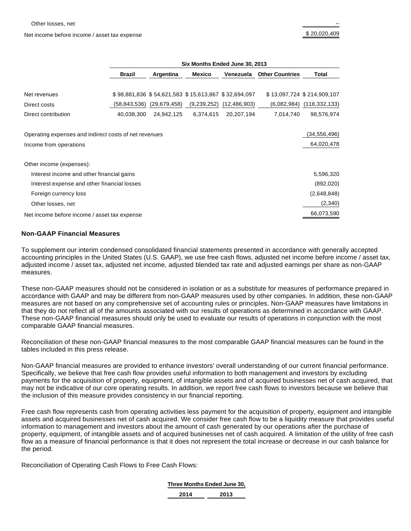## Net income before income / asset tax expense  $$20,020,409$

|                                                       | Six Months Ended June 30, 2013 |                           |                                                     |                              |                        |                               |  |
|-------------------------------------------------------|--------------------------------|---------------------------|-----------------------------------------------------|------------------------------|------------------------|-------------------------------|--|
|                                                       | <b>Brazil</b>                  | Argentina                 | Mexico                                              | Venezuela                    | <b>Other Countries</b> | Total                         |  |
|                                                       |                                |                           |                                                     |                              |                        |                               |  |
| Net revenues                                          |                                |                           | \$98,881,836 \$54,621,583 \$15,613,867 \$32,694,097 |                              |                        | \$13,097,724 \$214,909,107    |  |
| Direct costs                                          |                                | (58,843,536) (29,679,458) |                                                     | $(9,239,252)$ $(12,486,903)$ |                        | $(6,082,984)$ $(116,332,133)$ |  |
| Direct contribution                                   | 40,038,300                     | 24,942,125                | 6,374,615                                           | 20,207,194                   | 7,014,740              | 98,576,974                    |  |
|                                                       |                                |                           |                                                     |                              |                        |                               |  |
| Operating expenses and indirect costs of net revenues |                                |                           |                                                     |                              |                        | (34, 556, 496)                |  |
| Income from operations                                |                                |                           |                                                     |                              |                        | 64,020,478                    |  |
|                                                       |                                |                           |                                                     |                              |                        |                               |  |
| Other income (expenses):                              |                                |                           |                                                     |                              |                        |                               |  |
| Interest income and other financial gains             |                                |                           |                                                     |                              |                        | 5,596,320                     |  |
| Interest expense and other financial losses           |                                |                           |                                                     |                              |                        | (892, 020)                    |  |
| Foreign currency loss                                 |                                |                           |                                                     |                              |                        | (2,648,848)                   |  |
| Other losses, net                                     |                                |                           |                                                     |                              |                        | (2,340)                       |  |
| Net income before income / asset tax expense          |                                |                           |                                                     |                              |                        | 66,073,590                    |  |

## **Non-GAAP Financial Measures**

To supplement our interim condensed consolidated financial statements presented in accordance with generally accepted accounting principles in the United States (U.S. GAAP), we use free cash flows, adjusted net income before income / asset tax, adjusted income / asset tax, adjusted net income, adjusted blended tax rate and adjusted earnings per share as non-GAAP measures.

These non-GAAP measures should not be considered in isolation or as a substitute for measures of performance prepared in accordance with GAAP and may be different from non-GAAP measures used by other companies. In addition, these non-GAAP measures are not based on any comprehensive set of accounting rules or principles. Non-GAAP measures have limitations in that they do not reflect all of the amounts associated with our results of operations as determined in accordance with GAAP. These non-GAAP financial measures should only be used to evaluate our results of operations in conjunction with the most comparable GAAP financial measures.

Reconciliation of these non-GAAP financial measures to the most comparable GAAP financial measures can be found in the tables included in this press release.

Non-GAAP financial measures are provided to enhance investors' overall understanding of our current financial performance. Specifically, we believe that free cash flow provides useful information to both management and investors by excluding payments for the acquisition of property, equipment, of intangible assets and of acquired businesses net of cash acquired, that may not be indicative of our core operating results. In addition, we report free cash flows to investors because we believe that the inclusion of this measure provides consistency in our financial reporting.

Free cash flow represents cash from operating activities less payment for the acquisition of property, equipment and intangible assets and acquired businesses net of cash acquired. We consider free cash flow to be a liquidity measure that provides useful information to management and investors about the amount of cash generated by our operations after the purchase of property, equipment, of intangible assets and of acquired businesses net of cash acquired. A limitation of the utility of free cash flow as a measure of financial performance is that it does not represent the total increase or decrease in our cash balance for the period.

Reconciliation of Operating Cash Flows to Free Cash Flows:

|      | Three Months Ended June 30, |
|------|-----------------------------|
| 2014 | 2013                        |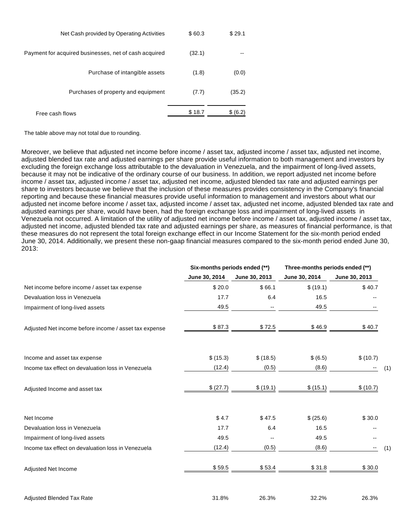| Free cash flows                                       | \$18.7 | \$ (6.2) |
|-------------------------------------------------------|--------|----------|
| Purchases of property and equipment                   | (7.7)  | (35.2)   |
| Purchase of intangible assets                         | (1.8)  | (0.0)    |
| Payment for acquired businesses, net of cash acquired | (32.1) |          |
| Net Cash provided by Operating Activities             | \$60.3 | \$29.1   |

The table above may not total due to rounding.

Moreover, we believe that adjusted net income before income / asset tax, adjusted income / asset tax, adjusted net income, adjusted blended tax rate and adjusted earnings per share provide useful information to both management and investors by excluding the foreign exchange loss attributable to the devaluation in Venezuela, and the impairment of long-lived assets, because it may not be indicative of the ordinary course of our business. In addition, we report adjusted net income before income / asset tax, adjusted income / asset tax, adjusted net income, adjusted blended tax rate and adjusted earnings per share to investors because we believe that the inclusion of these measures provides consistency in the Company's financial reporting and because these financial measures provide useful information to management and investors about what our adjusted net income before income / asset tax, adjusted income / asset tax, adjusted net income, adjusted blended tax rate and adjusted earnings per share, would have been, had the foreign exchange loss and impairment of long-lived assets in Venezuela not occurred. A limitation of the utility of adjusted net income before income / asset tax, adjusted income / asset tax, adjusted net income, adjusted blended tax rate and adjusted earnings per share, as measures of financial performance, is that these measures do not represent the total foreign exchange effect in our Income Statement for the six-month period ended June 30, 2014. Additionally, we present these non-gaap financial measures compared to the six-month period ended June 30, 2013:

|                                                       | Six-months periods ended (**) |                          | Three-months periods ended (**) |               |     |
|-------------------------------------------------------|-------------------------------|--------------------------|---------------------------------|---------------|-----|
|                                                       | June 30, 2014                 | June 30, 2013            | June 30, 2014                   | June 30, 2013 |     |
| Net income before income / asset tax expense          | \$20.0                        | \$66.1                   | \$(19.1)                        | \$40.7        |     |
| Devaluation loss in Venezuela                         | 17.7                          | 6.4                      | 16.5                            |               |     |
| Impairment of long-lived assets                       | 49.5                          | $\overline{\phantom{a}}$ | 49.5                            |               |     |
| Adjusted Net income before income / asset tax expense | \$87.3                        | \$72.5                   | \$46.9                          | \$40.7        |     |
| Income and asset tax expense                          | \$ (15.3)                     | \$ (18.5)                | \$ (6.5)                        | \$(10.7)      |     |
| Income tax effect on devaluation loss in Venezuela    | (12.4)                        | (0.5)                    | (8.6)                           |               | (1) |
| Adjusted Income and asset tax                         | \$ (27.7)                     | \$(19.1)                 | \$(15.1)                        | \$(10.7)      |     |
| Net Income                                            | \$4.7                         | \$47.5                   | \$ (25.6)                       | \$30.0        |     |
| Devaluation loss in Venezuela                         | 17.7                          | 6.4                      | 16.5                            |               |     |
| Impairment of long-lived assets                       | 49.5                          | $-$                      | 49.5                            |               |     |
| Income tax effect on devaluation loss in Venezuela    | (12.4)                        | (0.5)                    | (8.6)                           |               | (1) |
| Adjusted Net Income                                   | \$59.5                        | \$53.4                   | \$31.8                          | \$30.0        |     |
| Adjusted Blended Tax Rate                             | 31.8%                         | 26.3%                    | 32.2%                           | 26.3%         |     |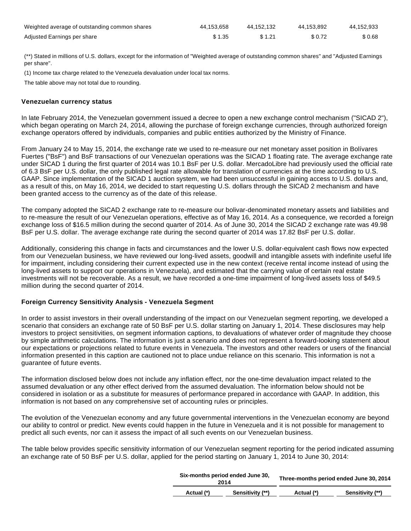| Weighted average of outstanding common shares | 44.153.658 | 44.152.132 | 44.153.892 | 44.152.933 |
|-----------------------------------------------|------------|------------|------------|------------|
| Adjusted Earnings per share                   | \$1.35     | \$1.21     | \$ 0.72    | \$ 0.68    |

(\*\*) Stated in millions of U.S. dollars, except for the information of "Weighted average of outstanding common shares" and "Adjusted Earnings per share".

(1) Income tax charge related to the Venezuela devaluation under local tax norms.

The table above may not total due to rounding.

## **Venezuelan currency status**

In late February 2014, the Venezuelan government issued a decree to open a new exchange control mechanism ("SICAD 2"), which began operating on March 24, 2014, allowing the purchase of foreign exchange currencies, through authorized foreign exchange operators offered by individuals, companies and public entities authorized by the Ministry of Finance.

From January 24 to May 15, 2014, the exchange rate we used to re-measure our net monetary asset position in Bolívares Fuertes ("BsF") and BsF transactions of our Venezuelan operations was the SICAD 1 floating rate. The average exchange rate under SICAD 1 during the first quarter of 2014 was 10.1 BsF per U.S. dollar. MercadoLibre had previously used the official rate of 6.3 BsF per U.S. dollar, the only published legal rate allowable for translation of currencies at the time according to U.S. GAAP. Since implementation of the SICAD 1 auction system, we had been unsuccessful in gaining access to U.S. dollars and, as a result of this, on May 16, 2014, we decided to start requesting U.S. dollars through the SICAD 2 mechanism and have been granted access to the currency as of the date of this release.

The company adopted the SICAD 2 exchange rate to re-measure our bolivar-denominated monetary assets and liabilities and to re-measure the result of our Venezuelan operations, effective as of May 16, 2014. As a consequence, we recorded a foreign exchange loss of \$16.5 million during the second quarter of 2014. As of June 30, 2014 the SICAD 2 exchange rate was 49.98 BsF per U.S. dollar. The average exchange rate during the second quarter of 2014 was 17.82 BsF per U.S. dollar.

Additionally, considering this change in facts and circumstances and the lower U.S. dollar-equivalent cash flows now expected from our Venezuelan business, we have reviewed our long-lived assets, goodwill and intangible assets with indefinite useful life for impairment, including considering their current expected use in the new context (receive rental income instead of using the long-lived assets to support our operations in Venezuela), and estimated that the carrying value of certain real estate investments will not be recoverable. As a result, we have recorded a one-time impairment of long-lived assets loss of \$49.5 million during the second quarter of 2014.

## **Foreign Currency Sensitivity Analysis - Venezuela Segment**

In order to assist investors in their overall understanding of the impact on our Venezuelan segment reporting, we developed a scenario that considers an exchange rate of 50 BsF per U.S. dollar starting on January 1, 2014. These disclosures may help investors to project sensitivities, on segment information captions, to devaluations of whatever order of magnitude they choose by simple arithmetic calculations. The information is just a scenario and does not represent a forward-looking statement about our expectations or projections related to future events in Venezuela. The investors and other readers or users of the financial information presented in this caption are cautioned not to place undue reliance on this scenario. This information is not a guarantee of future events.

The information disclosed below does not include any inflation effect, nor the one-time devaluation impact related to the assumed devaluation or any other effect derived from the assumed devaluation. The information below should not be considered in isolation or as a substitute for measures of performance prepared in accordance with GAAP. In addition, this information is not based on any comprehensive set of accounting rules or principles.

The evolution of the Venezuelan economy and any future governmental interventions in the Venezuelan economy are beyond our ability to control or predict. New events could happen in the future in Venezuela and it is not possible for management to predict all such events, nor can it assess the impact of all such events on our Venezuelan business.

The table below provides specific sensitivity information of our Venezuelan segment reporting for the period indicated assuming an exchange rate of 50 BsF per U.S. dollar, applied for the period starting on January 1, 2014 to June 30, 2014:

| Six-months period ended June 30,<br>2014 |                  | Three-months period ended June 30, 2014 |                  |  |
|------------------------------------------|------------------|-----------------------------------------|------------------|--|
| Actual (*)                               | Sensitivity (**) | Actual (*)                              | Sensitivity (**) |  |